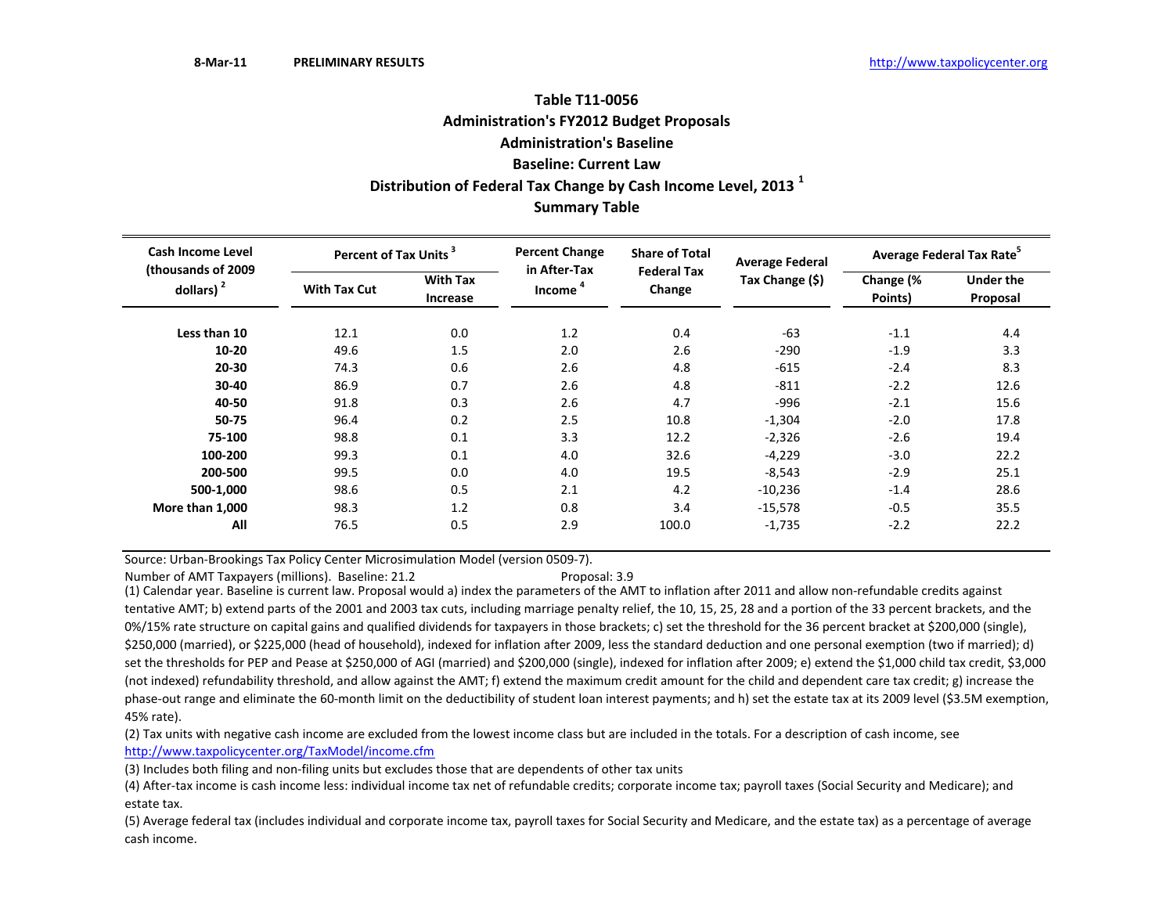# **Summary Table Table T11‐0056Administration's FY2012 Budget Proposals Administration's BaselineBaseline: Current LawDistribution of Federal Tax Change by Cash Income Level, <sup>2013</sup> <sup>1</sup>**

| <b>Cash Income Level</b><br>(thousands of 2009) | Percent of Tax Units <sup>3</sup> |                             | <b>Percent Change</b><br>in After-Tax | <b>Share of Total</b><br><b>Federal Tax</b> | <b>Average Federal</b> | Average Federal Tax Rate <sup>5</sup> |                              |  |
|-------------------------------------------------|-----------------------------------|-----------------------------|---------------------------------------|---------------------------------------------|------------------------|---------------------------------------|------------------------------|--|
| dollars) $2$                                    | <b>With Tax Cut</b>               | <b>With Tax</b><br>Increase | Income                                | Change                                      | Tax Change (\$)        | Change (%<br>Points)                  | <b>Under the</b><br>Proposal |  |
| Less than 10                                    | 12.1                              | 0.0                         | 1.2                                   | 0.4                                         | $-63$                  | $-1.1$                                | 4.4                          |  |
| 10-20                                           | 49.6                              | 1.5                         | 2.0                                   | 2.6                                         | $-290$                 | $-1.9$                                | 3.3                          |  |
| 20-30                                           | 74.3                              | 0.6                         | 2.6                                   | 4.8                                         | $-615$                 | $-2.4$                                | 8.3                          |  |
| 30-40                                           | 86.9                              | 0.7                         | 2.6                                   | 4.8                                         | $-811$                 | $-2.2$                                | 12.6                         |  |
| 40-50                                           | 91.8                              | 0.3                         | 2.6                                   | 4.7                                         | $-996$                 | $-2.1$                                | 15.6                         |  |
| 50-75                                           | 96.4                              | 0.2                         | 2.5                                   | 10.8                                        | $-1,304$               | $-2.0$                                | 17.8                         |  |
| 75-100                                          | 98.8                              | 0.1                         | 3.3                                   | 12.2                                        | $-2,326$               | $-2.6$                                | 19.4                         |  |
| 100-200                                         | 99.3                              | 0.1                         | 4.0                                   | 32.6                                        | $-4,229$               | $-3.0$                                | 22.2                         |  |
| 200-500                                         | 99.5                              | 0.0                         | 4.0                                   | 19.5                                        | $-8,543$               | $-2.9$                                | 25.1                         |  |
| 500-1,000                                       | 98.6                              | 0.5                         | 2.1                                   | 4.2                                         | $-10,236$              | $-1.4$                                | 28.6                         |  |
| More than 1,000                                 | 98.3                              | 1.2                         | 0.8                                   | 3.4                                         | $-15,578$              | $-0.5$                                | 35.5                         |  |
| All                                             | 76.5                              | 0.5                         | 2.9                                   | 100.0                                       | $-1,735$               | $-2.2$                                | 22.2                         |  |

Source: Urban‐Brookings Tax Policy Center Microsimulation Model (version 0509‐7).

Number of AMT Taxpayers (millions). Baseline: 21.2 Proposal: 3.9

(1) Calendar year. Baseline is current law. Proposal would a) index the parameters of the AMT to inflation after 2011 and allow non‐refundable credits against tentative AMT; b) extend parts of the 2001 and 2003 tax cuts, including marriage penalty relief, the 10, 15, 25, 28 and <sup>a</sup> portion of the 33 percent brackets, and the 0%/15% rate structure on capital gains and qualified dividends for taxpayers in those brackets; c) set the threshold for the 36 percent bracket at \$200,000 (single), \$250,000 (married), or \$225,000 (head of household), indexed for inflation after 2009, less the standard deduction and one personal exemption (two if married); d) set the thresholds for PEP and Pease at \$250,000 of AGI (married) and \$200,000 (single), indexed for inflation after 2009; e) extend the \$1,000 child tax credit, \$3,000 (not indexed) refundability threshold, and allow against the AMT; f) extend the maximum credit amount for the child and dependent care tax credit; g) increase the phase-out range and eliminate the 60-month limit on the deductibility of student loan interest payments; and h) set the estate tax at its 2009 level (\$3.5M exemption, 45% rate).

(2) Tax units with negative cash income are excluded from the lowest income class but are included in the totals. For <sup>a</sup> description of cash income, see http://www.taxpolicycenter.org/TaxModel/income.cfm

(3) Includes both filing and non-filing units but excludes those that are dependents of other tax units

(4) After‐tax income is cash income less: individual income tax net of refundable credits; corporate income tax; payroll taxes (Social Security and Medicare); and estate tax.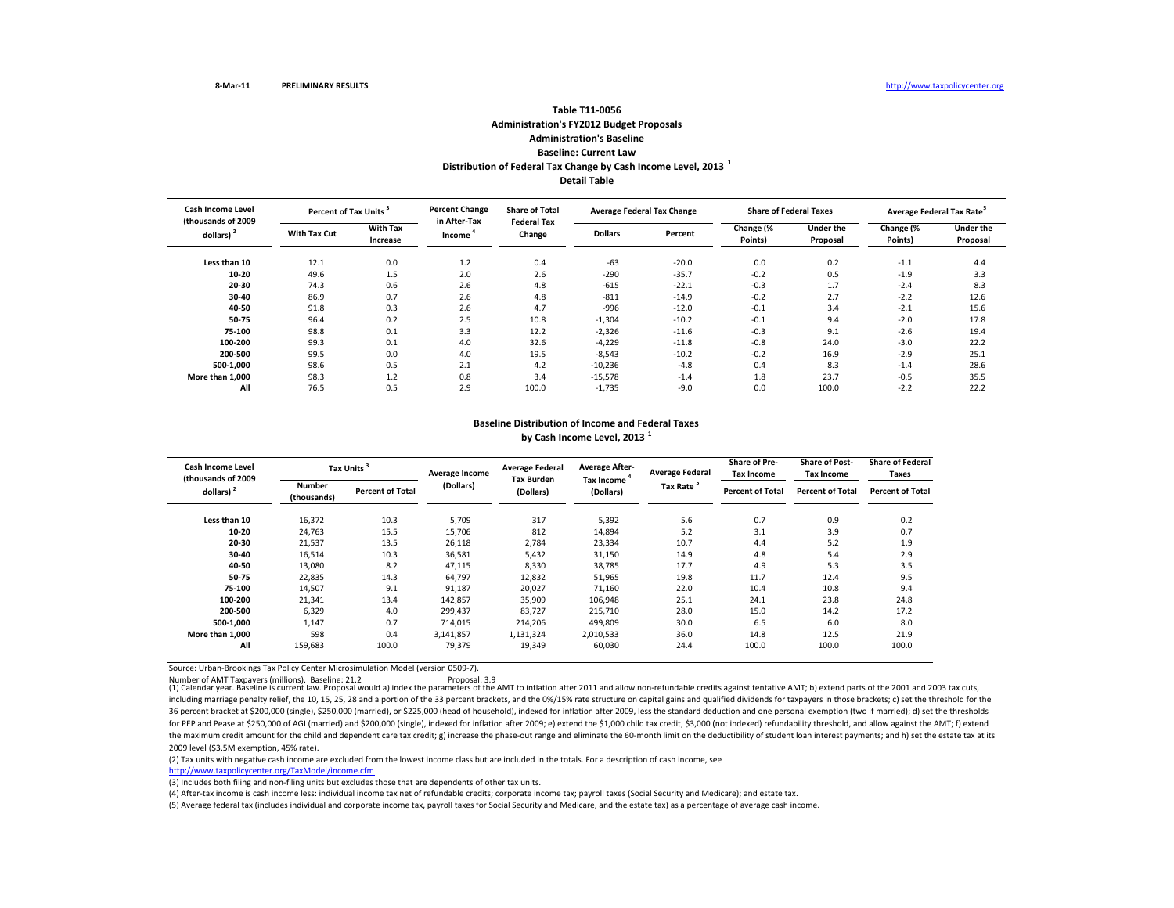## **Table T11‐0056Administration's FY2012 Budget Proposals Administration's BaselineBaseline: Current LawDistribution of Federal Tax Change by Cash Income Level, <sup>2013</sup> <sup>1</sup> Detail Table**

**Less than110** 12.1 0.0 1.2 0.4 -63 -20.0 0.0 0.2 -1.1 4.4 **10‐20** $\,$  0  $\,$  49.6  $\,$  1.5  $\,$  2.0  $\,$  2.6  $\,$  -290  $\,$  -35.7  $\,$  -0.2  $\,$  0.5  $\,$  -1.9  $\,$  3.3 **20‐30** 74.3 0.6 2.6 4.8 ‐615 ‐22.1 ‐0.3 1.7 ‐2.4 8.3 **30‐400 8**6.9 0.7 2.6 4.8 -811 -14.9 -0.2 2.7 -2.2 12.6 **40‐50** 91.8 0.3 2.6 4.7 ‐996 ‐12.0 ‐0.1 3.4 ‐2.1 15.6 **50‐75** 96.4 0.2 2.5 10.8 ‐1,304 ‐10.2 ‐0.1 9.4 ‐2.0 17.8 **75‐100**0 98.8 0.1 3.3 12.2 -2,326 -11.6 -0.3 9.1 -2.6 19.4 **100‐200** 99.3 0.1 4.0 32.6 ‐4,229 ‐11.8 ‐0.8 24.0 ‐3.0 22.2 **200‐500** 99.5 0.0 4.0 19.5 ‐8,543 ‐10.2 ‐0.2 16.9 ‐2.9 25.1 **500‐1,000** 98.6 0.5 2.1 4.2 ‐10,236 ‐4.8 0.4 8.3 ‐1.4 28.6 **More than11,000** 98.3 1.2 0.8 3.4 -15,578 -1.4 1.8 23.7 -0.5 35.5 **All** 76.5 0.5 2.9 100.0 ‐1,735 ‐9.0 0.0 100.0 ‐2.2 22.2 **Average Federal Tax Rate<sup>5</sup> Change (% Points) Under theProposal With Tax Cut With Tax Increase Dollars Percent Change (% Points) Under the Proposal Cash Income Level (thousands of 2009 dollars) <sup>2</sup> Percent of TaxPercent Change in After‐Tax Income <sup>4</sup> Share of Total Federal TaxChange Average Federal Tax Change Share of Federal Taxes**

## **Baseline Distribution of Income and Federal Taxes by Cash Income Level, <sup>2013</sup> <sup>1</sup>**

| <b>Cash Income Level</b><br>(thousands of 2009) |                              | Tax Units <sup>3</sup>  | Average Income | <b>Average Federal</b>         | <b>Average After-</b><br>Tax Income | <b>Average Federal</b> | <b>Share of Pre-</b><br>Tax Income | <b>Share of Post-</b><br><b>Tax Income</b> | <b>Share of Federal</b><br>Taxes |
|-------------------------------------------------|------------------------------|-------------------------|----------------|--------------------------------|-------------------------------------|------------------------|------------------------------------|--------------------------------------------|----------------------------------|
| dollars) <sup>2</sup>                           | <b>Number</b><br>(thousands) | <b>Percent of Total</b> | (Dollars)      | <b>Tax Burden</b><br>(Dollars) | (Dollars)                           | Tax Rate <sup>5</sup>  | <b>Percent of Total</b>            | <b>Percent of Total</b>                    | <b>Percent of Total</b>          |
| Less than 10                                    | 16,372                       | 10.3                    | 5,709          | 317                            | 5,392                               | 5.6                    | 0.7                                | 0.9                                        | 0.2                              |
| 10-20                                           | 24.763                       | 15.5                    | 15,706         | 812                            | 14,894                              | 5.2                    | 3.1                                | 3.9                                        | 0.7                              |
| 20-30                                           | 21,537                       | 13.5                    | 26,118         | 2,784                          | 23,334                              | 10.7                   | 4.4                                | 5.2                                        | 1.9                              |
| 30-40                                           | 16,514                       | 10.3                    | 36,581         | 5,432                          | 31,150                              | 14.9                   | 4.8                                | 5.4                                        | 2.9                              |
| 40-50                                           | 13,080                       | 8.2                     | 47,115         | 8,330                          | 38,785                              | 17.7                   | 4.9                                | 5.3                                        | 3.5                              |
| 50-75                                           | 22,835                       | 14.3                    | 64,797         | 12,832                         | 51,965                              | 19.8                   | 11.7                               | 12.4                                       | 9.5                              |
| 75-100                                          | 14,507                       | 9.1                     | 91,187         | 20,027                         | 71,160                              | 22.0                   | 10.4                               | 10.8                                       | 9.4                              |
| 100-200                                         | 21,341                       | 13.4                    | 142,857        | 35,909                         | 106,948                             | 25.1                   | 24.1                               | 23.8                                       | 24.8                             |
| 200-500                                         | 6,329                        | 4.0                     | 299,437        | 83,727                         | 215,710                             | 28.0                   | 15.0                               | 14.2                                       | 17.2                             |
| 500-1.000                                       | 1.147                        | 0.7                     | 714,015        | 214.206                        | 499,809                             | 30.0                   | 6.5                                | 6.0                                        | 8.0                              |
| More than 1.000                                 | 598                          | 0.4                     | 3,141,857      | 1,131,324                      | 2,010,533                           | 36.0                   | 14.8                               | 12.5                                       | 21.9                             |
| All                                             | 159,683                      | 100.0                   | 79,379         | 19,349                         | 60,030                              | 24.4                   | 100.0                              | 100.0                                      | 100.0                            |

Source: Urban‐Brookings Tax Policy Center Microsimulation Model (version 0509‐7).

Number of AMT Taxpayers (millions). Baseline: 21.2 Proposal: 3.9

Number of AMT Taxpayers (millions). Baseline: 21.2 Proposal: 3.9 Proposal: 3.9 Proposal: 3.9 Proposal: 3.9 Proposal: 3.9 Proposal: 3.9 Proposal: 3.9 Proposal would a) index the parameters of the AMI to inflation after 2011 including marriage penalty relief, the 10, 15, 25, 28 and a portion of the 33 percent brackets, and the 0%/15% rate structure on capital gains and qualified dividends for taxpayers in those brackets; c) set the threshold f 36 percent bracket at \$200,000 (single), \$250,000 (married), or \$225,000 (head of household), indexed for inflation after 2009, less the standard deduction and one personal exemption (two if married); d) set the thresholds for PEP and Pease at \$250,000 of AGI (married) and \$200,000 (single), indexed for inflation after 2009; e) extend the \$1,000 child tax credit, \$3,000 (not indexed) refundability threshold, and allow against the AMT; f) ext the maximum credit amount for the child and dependent care tax credit; g) increase the phase‐out range and eliminate the 60‐month limit on the deductibility of student loan interest payments; and h) set the estate tax at i 2009 level (\$3.5M exemption, 45% rate).

(2) Tax units with negative cash income are excluded from the lowest income class but are included in the totals. For <sup>a</sup> description of cash income, see

http://www.taxpolicycenter.org/TaxModel/income.cfm

(3) Includes both filing and non‐filing units but excludes those that are dependents of other tax units.

(4) After‐tax income is cash income less: individual income tax net of refundable credits; corporate income tax; payroll taxes (Social Security and Medicare); and estate tax.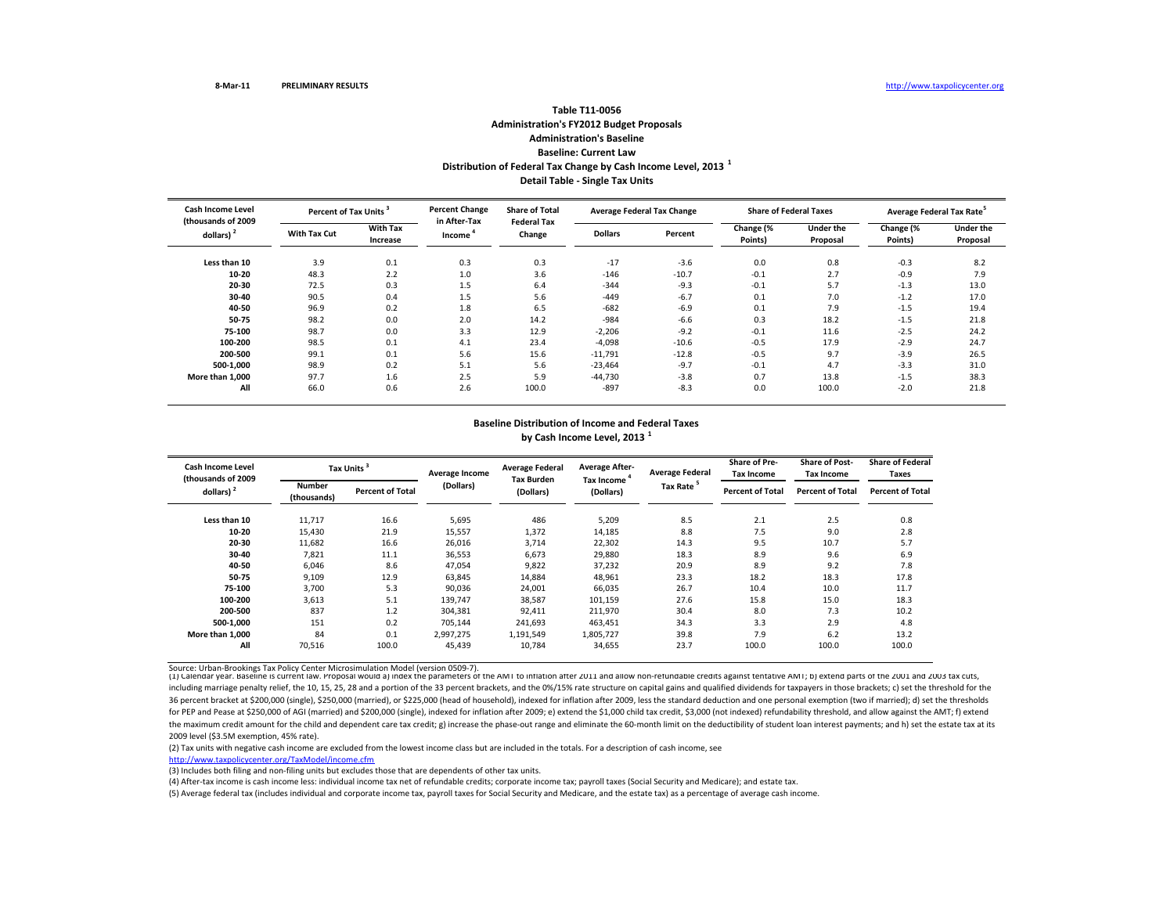# **Table T11‐0056Administration's FY2012 Budget Proposals Administration's Baseline Baseline: Current LawDistribution of Federal Tax Change by Cash Income Level, <sup>2013</sup> <sup>1</sup> Detail Table ‐ Single Tax Units**

| <b>Cash Income Level</b><br>(thousands of 2009 |                     | Percent of Tax Units <sup>3</sup> |                        | <b>Share of Total</b><br><b>Federal Tax</b> |                | <b>Average Federal Tax Change</b> |                      | <b>Share of Federal Taxes</b> | Average Federal Tax Rate <sup>5</sup> |                              |
|------------------------------------------------|---------------------|-----------------------------------|------------------------|---------------------------------------------|----------------|-----------------------------------|----------------------|-------------------------------|---------------------------------------|------------------------------|
| dollars) $2$                                   | <b>With Tax Cut</b> | <b>With Tax</b><br>Increase       | in After-Tax<br>Income | Change                                      | <b>Dollars</b> | Percent                           | Change (%<br>Points) | <b>Under the</b><br>Proposal  | Change (%<br>Points)                  | <b>Under the</b><br>Proposal |
| Less than 10                                   | 3.9                 | 0.1                               | 0.3                    | 0.3                                         | $-17$          | $-3.6$                            | 0.0                  | 0.8                           | $-0.3$                                | 8.2                          |
| $10 - 20$                                      | 48.3                | 2.2                               | 1.0                    | 3.6                                         | $-146$         | $-10.7$                           | $-0.1$               | 2.7                           | $-0.9$                                | 7.9                          |
| 20-30                                          | 72.5                | 0.3                               | 1.5                    | 6.4                                         | $-344$         | $-9.3$                            | $-0.1$               | 5.7                           | $-1.3$                                | 13.0                         |
| 30-40                                          | 90.5                | 0.4                               | 1.5                    | 5.6                                         | $-449$         | $-6.7$                            | 0.1                  | 7.0                           | $-1.2$                                | 17.0                         |
| 40-50                                          | 96.9                | 0.2                               | 1.8                    | 6.5                                         | $-682$         | $-6.9$                            | 0.1                  | 7.9                           | $-1.5$                                | 19.4                         |
| 50-75                                          | 98.2                | 0.0                               | 2.0                    | 14.2                                        | $-984$         | $-6.6$                            | 0.3                  | 18.2                          | $-1.5$                                | 21.8                         |
| 75-100                                         | 98.7                | 0.0                               | 3.3                    | 12.9                                        | $-2,206$       | $-9.2$                            | $-0.1$               | 11.6                          | $-2.5$                                | 24.2                         |
| 100-200                                        | 98.5                | 0.1                               | 4.1                    | 23.4                                        | $-4,098$       | $-10.6$                           | $-0.5$               | 17.9                          | $-2.9$                                | 24.7                         |
| 200-500                                        | 99.1                | 0.1                               | 5.6                    | 15.6                                        | $-11,791$      | $-12.8$                           | $-0.5$               | 9.7                           | $-3.9$                                | 26.5                         |
| 500-1.000                                      | 98.9                | 0.2                               | 5.1                    | 5.6                                         | $-23,464$      | $-9.7$                            | $-0.1$               | 4.7                           | $-3.3$                                | 31.0                         |
| More than 1.000                                | 97.7                | 1.6                               | 2.5                    | 5.9                                         | $-44,730$      | $-3.8$                            | 0.7                  | 13.8                          | $-1.5$                                | 38.3                         |
| All                                            | 66.0                | 0.6                               | 2.6                    | 100.0                                       | $-897$         | $-8.3$                            | 0.0                  | 100.0                         | $-2.0$                                | 21.8                         |

## **Baseline Distribution of Income and Federal Taxes by Cash Income Level, <sup>2013</sup> <sup>1</sup>**

| Cash Income Level<br>(thousands of 2009 |                       | Tax Units <sup>3</sup>  |           | <b>Average Federal</b>         | <b>Average After-</b><br>Tax Income | <b>Average Federal</b> | Share of Pre-<br><b>Tax Income</b> | <b>Share of Post-</b><br><b>Tax Income</b> | <b>Share of Federal</b><br>Taxes |
|-----------------------------------------|-----------------------|-------------------------|-----------|--------------------------------|-------------------------------------|------------------------|------------------------------------|--------------------------------------------|----------------------------------|
| dollars) <sup>2</sup>                   | Number<br>(thousands) | <b>Percent of Total</b> | (Dollars) | <b>Tax Burden</b><br>(Dollars) | (Dollars)                           | Tax Rate <sup>5</sup>  | <b>Percent of Total</b>            | <b>Percent of Total</b>                    | <b>Percent of Total</b>          |
| Less than 10                            | 11,717                | 16.6                    | 5,695     | 486                            | 5,209                               | 8.5                    | 2.1                                | 2.5                                        | 0.8                              |
| $10 - 20$                               | 15,430                | 21.9                    | 15,557    | 1,372                          | 14,185                              | 8.8                    | 7.5                                | 9.0                                        | 2.8                              |
| 20-30                                   | 11,682                | 16.6                    | 26,016    | 3,714                          | 22,302                              | 14.3                   | 9.5                                | 10.7                                       | 5.7                              |
| 30-40                                   | 7,821                 | 11.1                    | 36,553    | 6,673                          | 29,880                              | 18.3                   | 8.9                                | 9.6                                        | 6.9                              |
| 40-50                                   | 6,046                 | 8.6                     | 47,054    | 9,822                          | 37,232                              | 20.9                   | 8.9                                | 9.2                                        | 7.8                              |
| 50-75                                   | 9,109                 | 12.9                    | 63,845    | 14,884                         | 48,961                              | 23.3                   | 18.2                               | 18.3                                       | 17.8                             |
| 75-100                                  | 3,700                 | 5.3                     | 90,036    | 24,001                         | 66,035                              | 26.7                   | 10.4                               | 10.0                                       | 11.7                             |
| 100-200                                 | 3,613                 | 5.1                     | 139,747   | 38,587                         | 101,159                             | 27.6                   | 15.8                               | 15.0                                       | 18.3                             |
| 200-500                                 | 837                   | 1.2                     | 304,381   | 92,411                         | 211,970                             | 30.4                   | 8.0                                | 7.3                                        | 10.2                             |
| 500-1.000                               | 151                   | 0.2                     | 705,144   | 241,693                        | 463,451                             | 34.3                   | 3.3                                | 2.9                                        | 4.8                              |
| More than 1.000                         | 84                    | 0.1                     | 2,997,275 | 1,191,549                      | 1,805,727                           | 39.8                   | 7.9                                | 6.2                                        | 13.2                             |
| All                                     | 70,516                | 100.0                   | 45,439    | 10,784                         | 34,655                              | 23.7                   | 100.0                              | 100.0                                      | 100.0                            |

Source: Urban-Brookings Tax Policy Center Microsimulation Model (version 0509-7).<br>(1) Calendar year. Baseline is current law. Proposal would a) index the parameters of the AMI to inflation after 2011 and allow non-refundab including marriage penalty relief, the 10, 15, 25, 28 and a portion of the 33 percent brackets, and the 0%/15% rate structure on capital gains and qualified dividends for taxpayers in those brackets; c) set the threshold f 36 percent bracket at \$200,000 (single), \$250,000 (married), or \$225,000 (head of household), indexed for inflation after 2009, less the standard deduction and one personal exemption (two if married); d) set the thresholds for PEP and Pease at \$250,000 of AGI (married) and \$200,000 (single), indexed for inflation after 2009; e) extend the \$1,000 child tax credit, \$3,000 (not indexed) refundability threshold, and allow against the AMT; f) ext the maximum credit amount for the child and dependent care tax credit; g) increase the phase‐out range and eliminate the 60‐month limit on the deductibility of student loan interest payments; and h) set the estate tax at i 2009 level (\$3.5M exemption, 45% rate).

(2) Tax units with negative cash income are excluded from the lowest income class but are included in the totals. For <sup>a</sup> description of cash income, see

http://www.taxpolicycenter.org/TaxModel/income.cfm

(3) Includes both filing and non-filing units but excludes those that are dependents of other tax units.

(4) After‐tax income is cash income less: individual income tax net of refundable credits; corporate income tax; payroll taxes (Social Security and Medicare); and estate tax.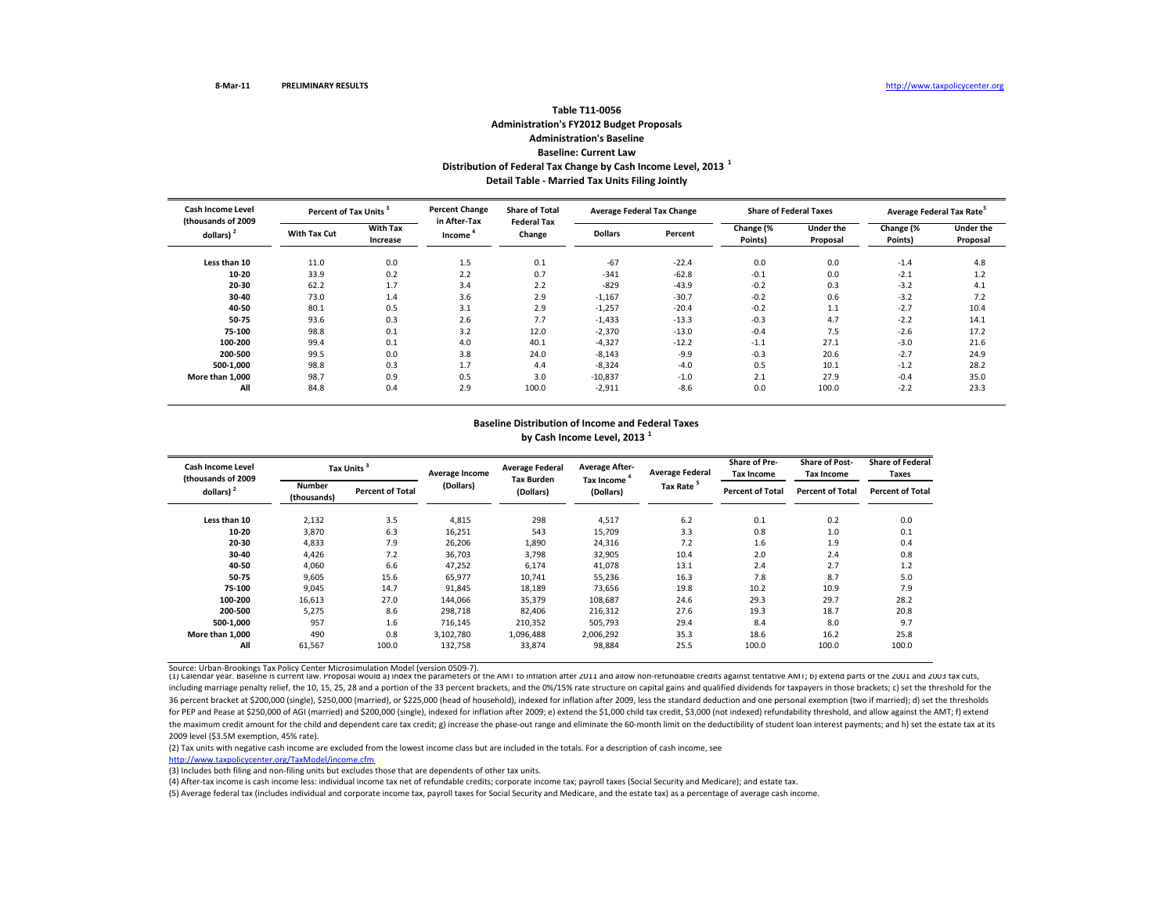# **Table T11‐0056Administration's FY2012 Budget Proposals Administration's Baseline Baseline: Current LawDistribution of Federal Tax Change by Cash Income Level, <sup>2013</sup> <sup>1</sup> Detail Table ‐ Married Tax Units Filing Jointly**

| <b>Cash Income Level</b><br>(thousands of 2009 |                     | Percent of Tax Units <sup>3</sup> |                        | <b>Share of Total</b><br><b>Federal Tax</b> |                | <b>Average Federal Tax Change</b> | <b>Share of Federal Taxes</b> |                              | Average Federal Tax Rate <sup>5</sup> |                              |
|------------------------------------------------|---------------------|-----------------------------------|------------------------|---------------------------------------------|----------------|-----------------------------------|-------------------------------|------------------------------|---------------------------------------|------------------------------|
| dollars) <sup>2</sup>                          | <b>With Tax Cut</b> | <b>With Tax</b><br>Increase       | in After-Tax<br>Income | Change                                      | <b>Dollars</b> | Percent                           | Change (%<br>Points)          | <b>Under the</b><br>Proposal | Change (%<br>Points)                  | <b>Under the</b><br>Proposal |
| Less than 10                                   | 11.0                | 0.0                               | 1.5                    | 0.1                                         | $-67$          | $-22.4$                           | 0.0                           | 0.0                          | $-1.4$                                | 4.8                          |
| 10-20                                          | 33.9                | 0.2                               | 2.2                    | 0.7                                         | $-341$         | $-62.8$                           | $-0.1$                        | 0.0                          | $-2.1$                                | 1.2                          |
| 20-30                                          | 62.2                | 1.7                               | 3.4                    | 2.2                                         | $-829$         | $-43.9$                           | $-0.2$                        | 0.3                          | $-3.2$                                | 4.1                          |
| 30-40                                          | 73.0                | 1.4                               | 3.6                    | 2.9                                         | $-1,167$       | $-30.7$                           | $-0.2$                        | 0.6                          | $-3.2$                                | 7.2                          |
| 40-50                                          | 80.1                | 0.5                               | 3.1                    | 2.9                                         | $-1,257$       | $-20.4$                           | $-0.2$                        | 1.1                          | $-2.7$                                | 10.4                         |
| 50-75                                          | 93.6                | 0.3                               | 2.6                    | 7.7                                         | $-1,433$       | $-13.3$                           | $-0.3$                        | 4.7                          | $-2.2$                                | 14.1                         |
| 75-100                                         | 98.8                | 0.1                               | 3.2                    | 12.0                                        | $-2,370$       | $-13.0$                           | $-0.4$                        | 7.5                          | $-2.6$                                | 17.2                         |
| 100-200                                        | 99.4                | 0.1                               | 4.0                    | 40.1                                        | $-4,327$       | $-12.2$                           | $-1.1$                        | 27.1                         | $-3.0$                                | 21.6                         |
| 200-500                                        | 99.5                | 0.0                               | 3.8                    | 24.0                                        | $-8,143$       | $-9.9$                            | $-0.3$                        | 20.6                         | $-2.7$                                | 24.9                         |
| 500-1.000                                      | 98.8                | 0.3                               | 1.7                    | 4.4                                         | $-8,324$       | $-4.0$                            | 0.5                           | 10.1                         | $-1.2$                                | 28.2                         |
| More than 1,000                                | 98.7                | 0.9                               | 0.5                    | 3.0                                         | $-10,837$      | $-1.0$                            | 2.1                           | 27.9                         | $-0.4$                                | 35.0                         |
| All                                            | 84.8                | 0.4                               | 2.9                    | 100.0                                       | $-2,911$       | $-8.6$                            | 0.0                           | 100.0                        | $-2.2$                                | 23.3                         |

## **Baseline Distribution of Income and Federal Taxes by Cash Income Level, <sup>2013</sup> <sup>1</sup>**

| <b>Cash Income Level</b>                    |                       | Tax Units <sup>3</sup>  | Average Income | <b>Average Federal</b>         | <b>Average After-</b><br>Tax Income ' | <b>Average Federal</b> | Share of Pre-<br><b>Tax Income</b> | <b>Share of Post-</b><br><b>Tax Income</b> | <b>Share of Federal</b><br>Taxes |
|---------------------------------------------|-----------------------|-------------------------|----------------|--------------------------------|---------------------------------------|------------------------|------------------------------------|--------------------------------------------|----------------------------------|
| (thousands of 2009<br>dollars) <sup>2</sup> | Number<br>(thousands) | <b>Percent of Total</b> | (Dollars)      | <b>Tax Burden</b><br>(Dollars) | (Dollars)                             | Tax Rate <sup>5</sup>  | <b>Percent of Total</b>            | <b>Percent of Total</b>                    | <b>Percent of Total</b>          |
| Less than 10                                | 2,132                 | 3.5                     | 4,815          | 298                            | 4,517                                 | 6.2                    | 0.1                                | 0.2                                        | 0.0                              |
| $10 - 20$                                   | 3,870                 | 6.3                     | 16,251         | 543                            | 15,709                                | 3.3                    | 0.8                                | 1.0                                        | 0.1                              |
| 20-30                                       | 4,833                 | 7.9                     | 26,206         | 1,890                          | 24,316                                | 7.2                    | 1.6                                | 1.9                                        | 0.4                              |
| 30-40                                       | 4,426                 | 7.2                     | 36,703         | 3,798                          | 32,905                                | 10.4                   | 2.0                                | 2.4                                        | 0.8                              |
| 40-50                                       | 4,060                 | 6.6                     | 47,252         | 6,174                          | 41,078                                | 13.1                   | 2.4                                | 2.7                                        | 1.2                              |
| 50-75                                       | 9,605                 | 15.6                    | 65,977         | 10,741                         | 55,236                                | 16.3                   | 7.8                                | 8.7                                        | 5.0                              |
| 75-100                                      | 9,045                 | 14.7                    | 91,845         | 18,189                         | 73,656                                | 19.8                   | 10.2                               | 10.9                                       | 7.9                              |
| 100-200                                     | 16,613                | 27.0                    | 144,066        | 35,379                         | 108,687                               | 24.6                   | 29.3                               | 29.7                                       | 28.2                             |
| 200-500                                     | 5,275                 | 8.6                     | 298,718        | 82,406                         | 216,312                               | 27.6                   | 19.3                               | 18.7                                       | 20.8                             |
| 500-1.000                                   | 957                   | 1.6                     | 716,145        | 210,352                        | 505,793                               | 29.4                   | 8.4                                | 8.0                                        | 9.7                              |
| More than 1.000                             | 490                   | 0.8                     | 3,102,780      | 1,096,488                      | 2,006,292                             | 35.3                   | 18.6                               | 16.2                                       | 25.8                             |
| All                                         | 61,567                | 100.0                   | 132,758        | 33,874                         | 98,884                                | 25.5                   | 100.0                              | 100.0                                      | 100.0                            |

Source: Urban-Brookings Tax Policy Center Microsimulation Model (version 0509-7).<br>(1) Calendar year. Baseline is current law. Proposal would a) index the parameters of the AMI to inflation after 2011 and allow non-refundab including marriage penalty relief, the 10, 15, 25, 28 and a portion of the 33 percent brackets, and the 0%/15% rate structure on capital gains and qualified dividends for taxpayers in those brackets; c) set the threshold f 36 percent bracket at \$200,000 (single), \$250,000 (married), or \$225,000 (head of household), indexed for inflation after 2009, less the standard deduction and one personal exemption (two if married); d) set the thresholds for PEP and Pease at \$250,000 of AGI (married) and \$200,000 (single), indexed for inflation after 2009; e) extend the \$1,000 child tax credit, \$3,000 (not indexed) refundability threshold, and allow against the AMT; f) ext the maximum credit amount for the child and dependent care tax credit; g) increase the phase‐out range and eliminate the 60‐month limit on the deductibility of student loan interest payments; and h) set the estate tax at i 2009 level (\$3.5M exemption, 45% rate).

(2) Tax units with negative cash income are excluded from the lowest income class but are included in the totals. For <sup>a</sup> description of cash income, see

http://www.taxpolicycenter.org/TaxModel/income.cfm

(3) Includes both filing and non-filing units but excludes those that are dependents of other tax units.

(4) After‐tax income is cash income less: individual income tax net of refundable credits; corporate income tax; payroll taxes (Social Security and Medicare); and estate tax.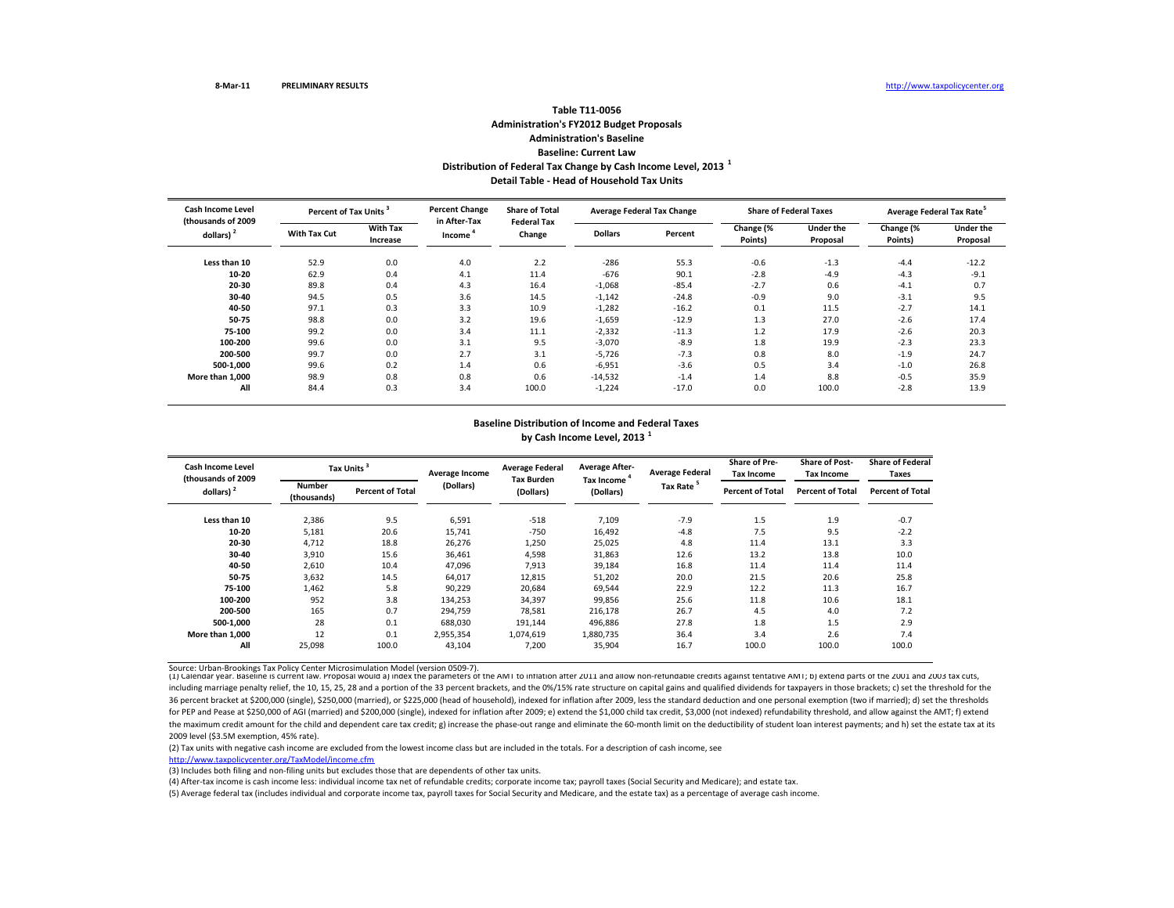## **Table T11‐0056Administration's FY2012 Budget Proposals Administration's Baseline Baseline: Current LawDistribution of Federal Tax Change by Cash Income Level, <sup>2013</sup> <sup>1</sup> Detail Table ‐ Head of Household Tax Units**

| Cash Income Level<br>(thousands of 2009 |                     | <b>Percent Change</b><br>Percent of Tax Units <sup>3</sup> |                        | <b>Share of Total</b><br><b>Federal Tax</b> | <b>Average Federal Tax Change</b> |         | <b>Share of Federal Taxes</b> |                              | Average Federal Tax Rate <sup>5</sup> |                              |
|-----------------------------------------|---------------------|------------------------------------------------------------|------------------------|---------------------------------------------|-----------------------------------|---------|-------------------------------|------------------------------|---------------------------------------|------------------------------|
| dollars) <sup>2</sup>                   | <b>With Tax Cut</b> | <b>With Tax</b><br>Increase                                | in After-Tax<br>Income | Change                                      | <b>Dollars</b>                    | Percent | Change (%<br>Points)          | <b>Under the</b><br>Proposal | Change (%<br>Points)                  | <b>Under the</b><br>Proposal |
| Less than 10                            | 52.9                | 0.0                                                        | 4.0                    | 2.2                                         | $-286$                            | 55.3    | $-0.6$                        | $-1.3$                       | $-4.4$                                | $-12.2$                      |
| 10-20                                   | 62.9                | 0.4                                                        | 4.1                    | 11.4                                        | $-676$                            | 90.1    | $-2.8$                        | $-4.9$                       | $-4.3$                                | $-9.1$                       |
| 20-30                                   | 89.8                | 0.4                                                        | 4.3                    | 16.4                                        | $-1,068$                          | $-85.4$ | $-2.7$                        | 0.6                          | $-4.1$                                | 0.7                          |
| 30-40                                   | 94.5                | 0.5                                                        | 3.6                    | 14.5                                        | $-1,142$                          | $-24.8$ | $-0.9$                        | 9.0                          | $-3.1$                                | 9.5                          |
| 40-50                                   | 97.1                | 0.3                                                        | 3.3                    | 10.9                                        | $-1,282$                          | $-16.2$ | 0.1                           | 11.5                         | $-2.7$                                | 14.1                         |
| 50-75                                   | 98.8                | 0.0                                                        | 3.2                    | 19.6                                        | $-1,659$                          | $-12.9$ | 1.3                           | 27.0                         | $-2.6$                                | 17.4                         |
| 75-100                                  | 99.2                | 0.0                                                        | 3.4                    | 11.1                                        | $-2,332$                          | $-11.3$ | 1.2                           | 17.9                         | $-2.6$                                | 20.3                         |
| 100-200                                 | 99.6                | 0.0                                                        | 3.1                    | 9.5                                         | $-3,070$                          | $-8.9$  | 1.8                           | 19.9                         | $-2.3$                                | 23.3                         |
| 200-500                                 | 99.7                | 0.0                                                        | 2.7                    | 3.1                                         | $-5,726$                          | $-7.3$  | 0.8                           | 8.0                          | $-1.9$                                | 24.7                         |
| 500-1.000                               | 99.6                | 0.2                                                        | 1.4                    | 0.6                                         | $-6,951$                          | $-3.6$  | 0.5                           | 3.4                          | $-1.0$                                | 26.8                         |
| More than 1.000                         | 98.9                | 0.8                                                        | 0.8                    | 0.6                                         | $-14,532$                         | $-1.4$  | 1.4                           | 8.8                          | $-0.5$                                | 35.9                         |
| All                                     | 84.4                | 0.3                                                        | 3.4                    | 100.0                                       | $-1,224$                          | $-17.0$ | 0.0                           | 100.0                        | $-2.8$                                | 13.9                         |

## **Baseline Distribution of Income and Federal Taxes by Cash Income Level, <sup>2013</sup> <sup>1</sup>**

| <b>Cash Income Level</b><br>(thousands of 2009) |                              | Tax Units               | Average Income | <b>Average Federal</b><br><b>Tax Burden</b> | <b>Average After-</b><br>Tax Income | <b>Average Federal</b> | <b>Share of Pre-</b><br><b>Tax Income</b> | <b>Share of Post-</b><br><b>Tax Income</b> | <b>Share of Federal</b><br>Taxes |
|-------------------------------------------------|------------------------------|-------------------------|----------------|---------------------------------------------|-------------------------------------|------------------------|-------------------------------------------|--------------------------------------------|----------------------------------|
| dollars) <sup>2</sup>                           | <b>Number</b><br>(thousands) | <b>Percent of Total</b> | (Dollars)      | (Dollars)                                   | (Dollars)                           | Tax Rate <sup>5</sup>  | <b>Percent of Total</b>                   | <b>Percent of Total</b>                    | <b>Percent of Total</b>          |
| Less than 10                                    | 2,386                        | 9.5                     | 6,591          | $-518$                                      | 7,109                               | $-7.9$                 | 1.5                                       | 1.9                                        | $-0.7$                           |
| 10-20                                           | 5,181                        | 20.6                    | 15,741         | $-750$                                      | 16,492                              | $-4.8$                 | 7.5                                       | 9.5                                        | $-2.2$                           |
| 20-30                                           | 4,712                        | 18.8                    | 26,276         | 1,250                                       | 25,025                              | 4.8                    | 11.4                                      | 13.1                                       | 3.3                              |
| 30-40                                           | 3,910                        | 15.6                    | 36,461         | 4,598                                       | 31,863                              | 12.6                   | 13.2                                      | 13.8                                       | 10.0                             |
| 40-50                                           | 2,610                        | 10.4                    | 47,096         | 7,913                                       | 39,184                              | 16.8                   | 11.4                                      | 11.4                                       | 11.4                             |
| 50-75                                           | 3,632                        | 14.5                    | 64,017         | 12,815                                      | 51,202                              | 20.0                   | 21.5                                      | 20.6                                       | 25.8                             |
| 75-100                                          | 1,462                        | 5.8                     | 90,229         | 20,684                                      | 69,544                              | 22.9                   | 12.2                                      | 11.3                                       | 16.7                             |
| 100-200                                         | 952                          | 3.8                     | 134,253        | 34,397                                      | 99,856                              | 25.6                   | 11.8                                      | 10.6                                       | 18.1                             |
| 200-500                                         | 165                          | 0.7                     | 294.759        | 78,581                                      | 216.178                             | 26.7                   | 4.5                                       | 4.0                                        | 7.2                              |
| 500-1.000                                       | 28                           | 0.1                     | 688,030        | 191,144                                     | 496,886                             | 27.8                   | 1.8                                       | 1.5                                        | 2.9                              |
| More than 1.000                                 | 12                           | 0.1                     | 2,955,354      | 1,074,619                                   | 1,880,735                           | 36.4                   | 3.4                                       | 2.6                                        | 7.4                              |
| All                                             | 25,098                       | 100.0                   | 43,104         | 7,200                                       | 35,904                              | 16.7                   | 100.0                                     | 100.0                                      | 100.0                            |

Source: Urban-Brookings Tax Policy Center Microsimulation Model (version 0509-7).<br>(1) Calendar year. Baseline is current law. Proposal would a) index the parameters of the AMI to inflation after 2011 and allow non-refundab including marriage penalty relief, the 10, 15, 25, 28 and a portion of the 33 percent brackets, and the 0%/15% rate structure on capital gains and qualified dividends for taxpayers in those brackets; c) set the threshold f 36 percent bracket at \$200,000 (single), \$250,000 (married), or \$225,000 (head of household), indexed for inflation after 2009, less the standard deduction and one personal exemption (two if married); d) set the thresholds for PEP and Pease at \$250,000 of AGI (married) and \$200,000 (single), indexed for inflation after 2009; e) extend the \$1,000 child tax credit, \$3,000 (not indexed) refundability threshold, and allow against the AMT; f) ext the maximum credit amount for the child and dependent care tax credit; g) increase the phase‐out range and eliminate the 60‐month limit on the deductibility of student loan interest payments; and h) set the estate tax at i 2009 level (\$3.5M exemption, 45% rate).

(2) Tax units with negative cash income are excluded from the lowest income class but are included in the totals. For <sup>a</sup> description of cash income, see

http://www.taxpolicycenter.org/TaxModel/income.cfm

(3) Includes both filing and non-filing units but excludes those that are dependents of other tax units.

(4) After‐tax income is cash income less: individual income tax net of refundable credits; corporate income tax; payroll taxes (Social Security and Medicare); and estate tax.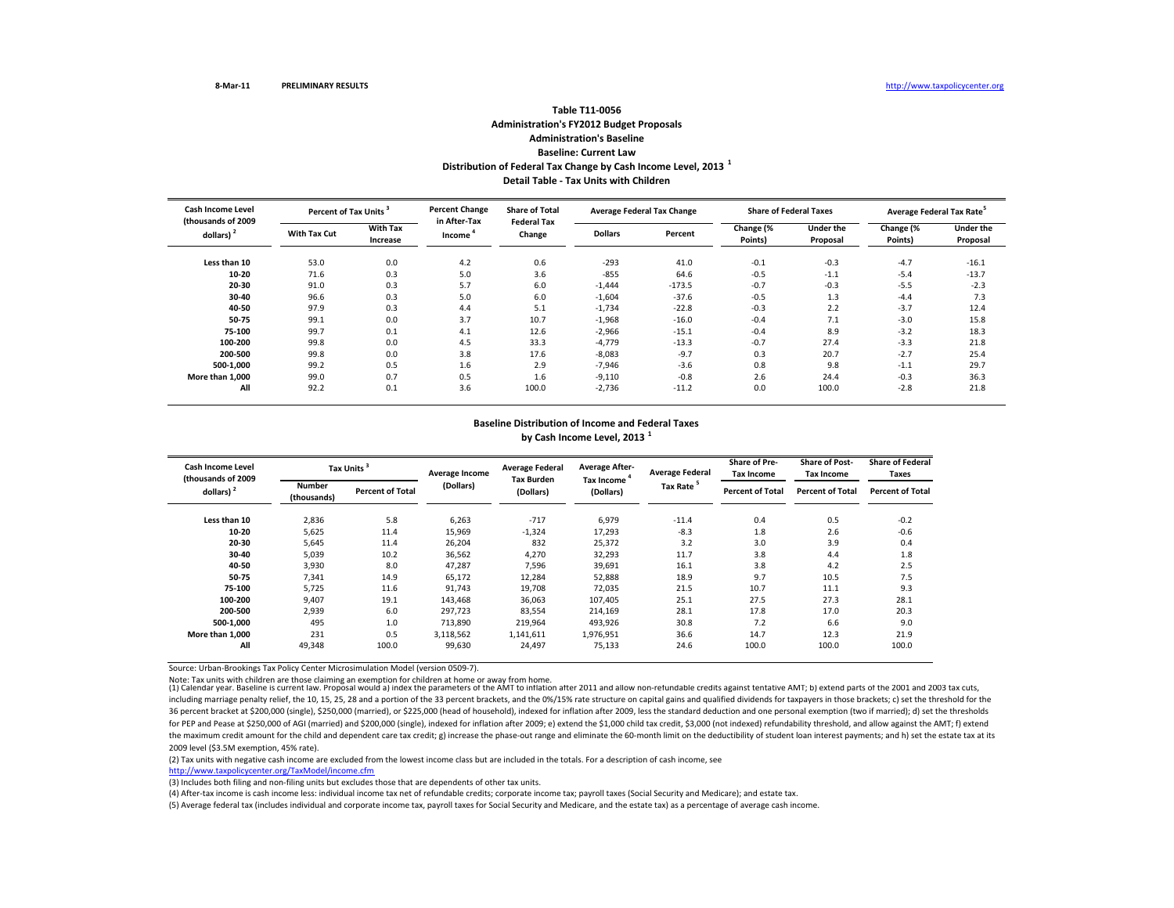## **Table T11‐0056Administration's FY2012 Budget Proposals Administration's Baseline Baseline: Current LawDistribution of Federal Tax Change by Cash Income Level, <sup>2013</sup> <sup>1</sup> Detail Table ‐ Tax Units with Children**

| Cash Income Level<br>(thousands of 2009 |                     | <b>Percent Change</b><br>Percent of Tax Units <sup>3</sup> |                        | <b>Share of Total</b><br><b>Federal Tax</b> |                | <b>Average Federal Tax Change</b> |                      | <b>Share of Federal Taxes</b> | Average Federal Tax Rate <sup>5</sup> |                              |
|-----------------------------------------|---------------------|------------------------------------------------------------|------------------------|---------------------------------------------|----------------|-----------------------------------|----------------------|-------------------------------|---------------------------------------|------------------------------|
| dollars) <sup>2</sup>                   | <b>With Tax Cut</b> | <b>With Tax</b><br>Increase                                | in After-Tax<br>Income | Change                                      | <b>Dollars</b> | Percent                           | Change (%<br>Points) | <b>Under the</b><br>Proposal  | Change (%<br>Points)                  | <b>Under the</b><br>Proposal |
| Less than 10                            | 53.0                | 0.0                                                        | 4.2                    | 0.6                                         | $-293$         | 41.0                              | $-0.1$               | $-0.3$                        | $-4.7$                                | $-16.1$                      |
| 10-20                                   | 71.6                | 0.3                                                        | 5.0                    | 3.6                                         | $-855$         | 64.6                              | $-0.5$               | $-1.1$                        | $-5.4$                                | $-13.7$                      |
| 20-30                                   | 91.0                | 0.3                                                        | 5.7                    | 6.0                                         | $-1,444$       | $-173.5$                          | $-0.7$               | $-0.3$                        | $-5.5$                                | $-2.3$                       |
| 30-40                                   | 96.6                | 0.3                                                        | 5.0                    | 6.0                                         | $-1,604$       | $-37.6$                           | $-0.5$               | 1.3                           | $-4.4$                                | 7.3                          |
| 40-50                                   | 97.9                | 0.3                                                        | 4.4                    | 5.1                                         | $-1,734$       | $-22.8$                           | $-0.3$               | 2.2                           | $-3.7$                                | 12.4                         |
| 50-75                                   | 99.1                | 0.0                                                        | 3.7                    | 10.7                                        | $-1,968$       | $-16.0$                           | $-0.4$               | 7.1                           | $-3.0$                                | 15.8                         |
| 75-100                                  | 99.7                | 0.1                                                        | 4.1                    | 12.6                                        | $-2,966$       | $-15.1$                           | $-0.4$               | 8.9                           | $-3.2$                                | 18.3                         |
| 100-200                                 | 99.8                | 0.0                                                        | 4.5                    | 33.3                                        | $-4,779$       | $-13.3$                           | $-0.7$               | 27.4                          | $-3.3$                                | 21.8                         |
| 200-500                                 | 99.8                | 0.0                                                        | 3.8                    | 17.6                                        | $-8,083$       | $-9.7$                            | 0.3                  | 20.7                          | $-2.7$                                | 25.4                         |
| 500-1.000                               | 99.2                | 0.5                                                        | 1.6                    | 2.9                                         | $-7,946$       | $-3.6$                            | 0.8                  | 9.8                           | $-1.1$                                | 29.7                         |
| More than 1.000                         | 99.0                | 0.7                                                        | 0.5                    | 1.6                                         | $-9,110$       | $-0.8$                            | 2.6                  | 24.4                          | $-0.3$                                | 36.3                         |
| All                                     | 92.2                | 0.1                                                        | 3.6                    | 100.0                                       | $-2,736$       | $-11.2$                           | 0.0                  | 100.0                         | $-2.8$                                | 21.8                         |

## **Baseline Distribution of Income and Federal Taxes by Cash Income Level, <sup>2013</sup> <sup>1</sup>**

| Cash Income Level<br>(thousands of 2009) |                       | Tax Units <sup>3</sup>  | Average Income | <b>Average Federal</b><br><b>Tax Burden</b> | <b>Average After-</b><br>Tax Income | <b>Average Federal</b> | <b>Share of Pre-</b><br>Tax Income | <b>Share of Post-</b><br><b>Tax Income</b> | <b>Share of Federal</b><br><b>Taxes</b> |
|------------------------------------------|-----------------------|-------------------------|----------------|---------------------------------------------|-------------------------------------|------------------------|------------------------------------|--------------------------------------------|-----------------------------------------|
| dollars) $2$                             | Number<br>(thousands) | <b>Percent of Total</b> | (Dollars)      | (Dollars)                                   | (Dollars)                           | Tax Rate <sup>5</sup>  | <b>Percent of Total</b>            | <b>Percent of Total</b>                    | <b>Percent of Total</b>                 |
| Less than 10                             | 2,836                 | 5.8                     | 6,263          | $-717$                                      | 6,979                               | $-11.4$                | 0.4                                | 0.5                                        | $-0.2$                                  |
| $10 - 20$                                | 5,625                 | 11.4                    | 15,969         | $-1,324$                                    | 17,293                              | $-8.3$                 | 1.8                                | 2.6                                        | $-0.6$                                  |
| 20-30                                    | 5,645                 | 11.4                    | 26,204         | 832                                         | 25,372                              | 3.2                    | 3.0                                | 3.9                                        | 0.4                                     |
| 30-40                                    | 5,039                 | 10.2                    | 36,562         | 4,270                                       | 32,293                              | 11.7                   | 3.8                                | 4.4                                        | 1.8                                     |
| 40-50                                    | 3,930                 | 8.0                     | 47,287         | 7,596                                       | 39,691                              | 16.1                   | 3.8                                | 4.2                                        | 2.5                                     |
| 50-75                                    | 7,341                 | 14.9                    | 65,172         | 12,284                                      | 52,888                              | 18.9                   | 9.7                                | 10.5                                       | 7.5                                     |
| 75-100                                   | 5,725                 | 11.6                    | 91,743         | 19,708                                      | 72,035                              | 21.5                   | 10.7                               | 11.1                                       | 9.3                                     |
| 100-200                                  | 9,407                 | 19.1                    | 143,468        | 36,063                                      | 107,405                             | 25.1                   | 27.5                               | 27.3                                       | 28.1                                    |
| 200-500                                  | 2,939                 | 6.0                     | 297,723        | 83,554                                      | 214,169                             | 28.1                   | 17.8                               | 17.0                                       | 20.3                                    |
| 500-1.000                                | 495                   | 1.0                     | 713,890        | 219.964                                     | 493.926                             | 30.8                   | 7.2                                | 6.6                                        | 9.0                                     |
| More than 1.000                          | 231                   | 0.5                     | 3,118,562      | 1,141,611                                   | 1,976,951                           | 36.6                   | 14.7                               | 12.3                                       | 21.9                                    |
| All                                      | 49,348                | 100.0                   | 99,630         | 24,497                                      | 75,133                              | 24.6                   | 100.0                              | 100.0                                      | 100.0                                   |

Source: Urban‐Brookings Tax Policy Center Microsimulation Model (version 0509‐7).

Note: Tax units with children are those claiming an exemption for children at home or away from home.<br>(1) Calendar year. Baseline is current law. Proposal would a) index the parameters of the AMI to inhation after 2011 and including marriage penalty relief, the 10, 15, 25, 28 and a portion of the 33 percent brackets, and the 0%/15% rate structure on capital gains and qualified dividends for taxpayers in those brackets; c) set the threshold f 36 percent bracket at \$200,000 (single), \$250,000 (married), or \$225,000 (head of household), indexed for inflation after 2009, less the standard deduction and one personal exemption (two if married); d) set the thresholds for PEP and Pease at \$250,000 of AGI (married) and \$200,000 (single), indexed for inflation after 2009; e) extend the \$1,000 child tax credit, \$3,000 (not indexed) refundability threshold, and allow against the AMT; f) ext the maximum credit amount for the child and dependent care tax credit; g) increase the phase‐out range and eliminate the 60‐month limit on the deductibility of student loan interest payments; and h) set the estate tax at i 2009 level (\$3.5M exemption, 45% rate).

(2) Tax units with negative cash income are excluded from the lowest income class but are included in the totals. For <sup>a</sup> description of cash income, see

http://www.taxpolicycenter.org/TaxModel/income.cfm

(3) Includes both filing and non‐filing units but excludes those that are dependents of other tax units.

(4) After‐tax income is cash income less: individual income tax net of refundable credits; corporate income tax; payroll taxes (Social Security and Medicare); and estate tax.